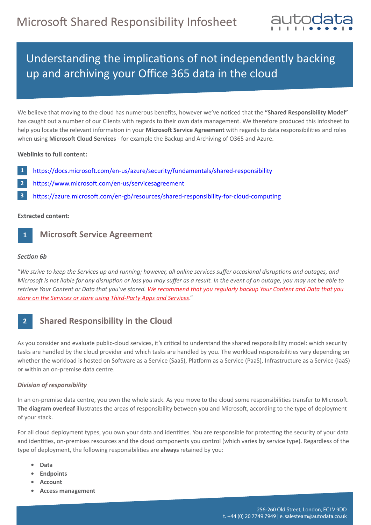

# Understanding the implications of not independently backing up and archiving your Office 365 data in the cloud

We believe that moving to the cloud has numerous benefits, however we've noticed that the "Shared Responsibility Model" has caught out a number of our Clients with regards to their own data management. We therefore produced this infosheet to help you locate the relevant information in your Microsoft Service Agreement with regards to data responsibilities and roles when using **Microso� Cloud Services** - for example the Backup and Archiving of O365 and Azure.

## **Weblinks to full content:**

- **1** https://docs.microsoft.com/en-us/azure/security/[fundamentals](https://docs.microsoft.com/en-us/azure/security/fundamentals/shared-responsibility)/shared-responsibility
- https://www.microsoft.com[/en-us/servicesagree](https://www.microsoft.com/en-us/servicesagreement)ment **2**
- https://azure.microsoft.com/en-gb/resources/shared-[responsibility](https://azure.microsoft.com/en-gb/resources/shared-responsibility-for-cloud-computing)-for-cloud-computing **3**

## **Extracted content:**

#### **Microsoft Service Agreement 1**

#### *Section 6b*

 

"*We strive to keep the Services up and running; however, all online services suffer occasional disruptions and outages, and Microsoft is not liable for any disruption or loss you may suffer as a result. In the event of an outage, you may not be able to retrieve Your Content or Data that you've stored. We recommend that you regularly backup Your Content and Data that you store on the Services or store using Third-Party Apps and Services*."

#### **Shared Responsibility in the Cloud 2**

As you consider and evaluate public-cloud services, it's critical to understand the shared responsibility model: which security tasks are handled by the cloud provider and which tasks are handled by you. The workload responsibilities vary depending on whether the workload is hosted on Software as a Service (SaaS), Platform as a Service (PaaS), Infrastructure as a Service (IaaS) or within an on-premise data centre.

## *Division of responsibility*

In an on-premise data centre, you own the whole stack. As you move to the cloud some responsibilities transfer to Microsoft. The diagram overleaf illustrates the areas of responsibility between you and Microsoft, according to the type of deployment of your stack.

For all cloud deployment types, you own your data and identities. You are responsible for protecting the security of your data and identities, on-premises resources and the cloud components you control (which varies by service type). Regardless of the type of deployment, the following responsibili�es are **always** retained by you:

- **Data**
- **Endpoints**
- **Account**
- **Access management**